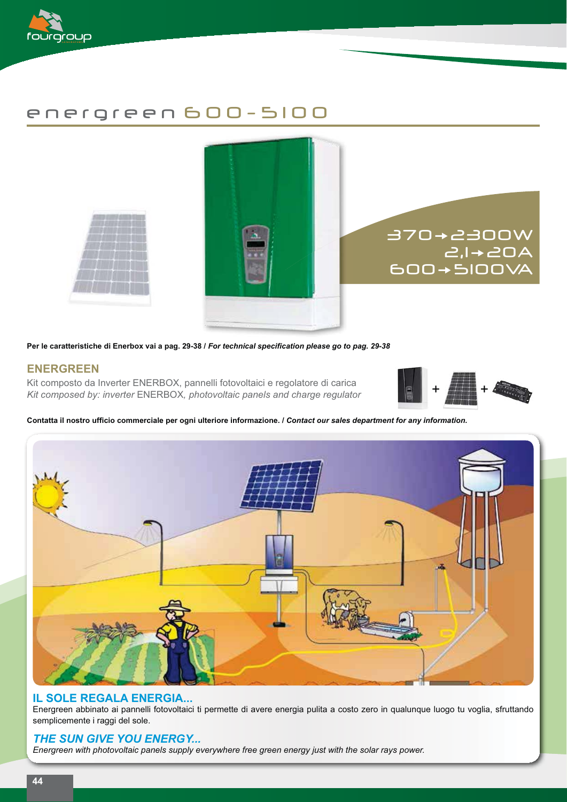

# energreen 600- 5100



Per le caratteristiche di Enerbox vai a pag. 29-38 / *For technical specification please go to pag. 29-38* 

## **ENERGREEN**

Kit composto da Inverter ENERBOX, pannelli fotovoltaici e regolatore di carica *Kit composed by: inverter* ENERBOX*, photovoltaic panels and charge regulator*



#### Contatta il nostro ufficio commerciale per ogni ulteriore informazione. / Contact our sales department for any information.



#### **IL SOLE REGALA ENERGIA...**

Energreen abbinato ai pannelli fotovoltaici ti permette di avere energia pulita a costo zero in qualunque luogo tu voglia, sfruttando semplicemente i raggi del sole.

### *THE SUN GIVE YOU ENERGY...*

*Energreen with photovoltaic panels supply everywhere free green energy just with the solar rays power.*